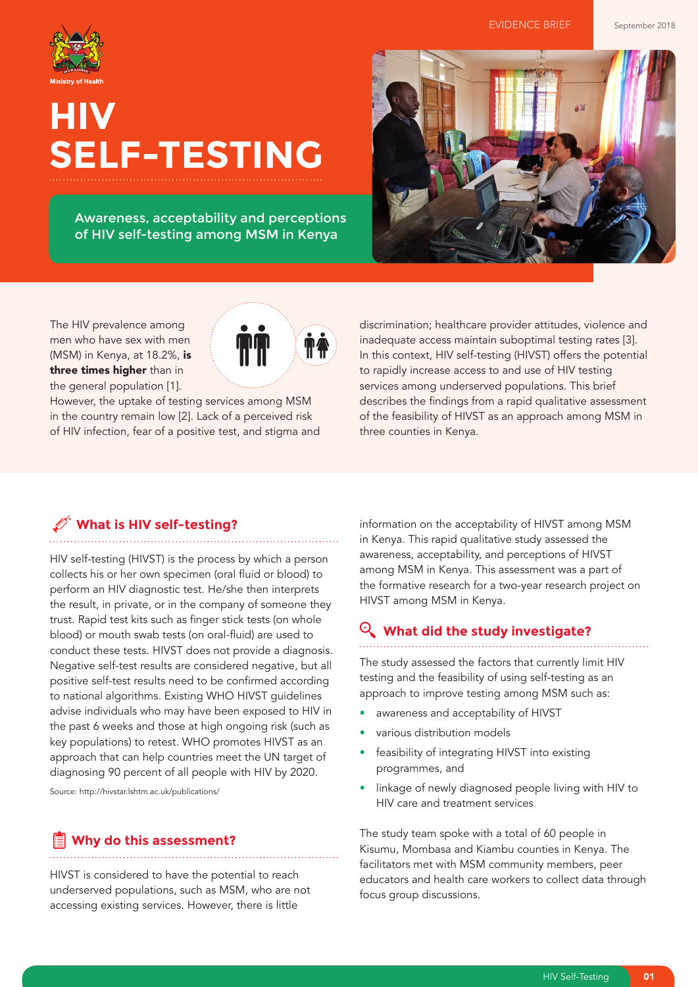

# **HIV SELF-TESTING**

Awareness, acceptability and perceptions of HIV self-testing among MSM in Kenya



The HIV prevalence among men who have sex with men (MSM) in Kenya, at 18.2%, is three times higher than in the general population [1].

However, the uptake of testing services among MSM in the country remain low [2]. Lack of a perceived risk of HIV infection, fear of a positive test, and stigma and discrimination; healthcare provider attitudes, violence and inadequate access maintain suboptimal testing rates [3]. In this context, HIV self-testing (HIVST) offers the potential to rapidly increase access to and use of HIV testing services among underserved populations. This brief describes the findings from a rapid qualitative assessment of the feasibility of HIVST as an approach among MSM in three counties in Kenya.

## **What is HIV self-testing?**

HIV self-testing (HIVST) is the process by which a person collects his or her own specimen (oral fluid or blood) to perform an HIV diagnostic test. He/she then interprets the result, in private, or in the company of someone they trust. Rapid test kits such as finger stick tests (on whole blood) or mouth swab tests (on oral-fluid) are used to conduct these tests. HIVST does not provide a diagnosis. Negative self-test results are considered negative, but all positive self-test results need to be confirmed according to national algorithms. Existing WHO HIVST guidelines advise individuals who may have been exposed to HIV in the past 6 weeks and those at high ongoing risk (such as key populations) to retest. WHO promotes HIVST as an approach that can help countries meet the UN target of diagnosing 90 percent of all people with HIV by 2020.

Source: http://hivstar.lshtm.ac.uk/publications/

## **Why do this assessment?**

HIVST is considered to have the potential to reach underserved populations, such as MSM, who are not accessing existing services. However, there is little

information on the acceptability of HIVST among MSM in Kenya. This rapid qualitative study assessed the awareness, acceptability, and perceptions of HIVST among MSM in Kenya. This assessment was a part of the formative research for a two-year research project on HIVST among MSM in Kenya.

## **What did the study investigate?**

The study assessed the factors that currently limit HIV testing and the feasibility of using self-testing as an approach to improve testing among MSM such as:

- awareness and acceptability of HIVST
- various distribution models
- feasibility of integrating HIVST into existing programmes, and
- linkage of newly diagnosed people living with HIV to HIV care and treatment services

The study team spoke with a total of 60 people in Kisumu, Mombasa and Kiambu counties in Kenya. The facilitators met with MSM community members, peer educators and health care workers to collect data through focus group discussions.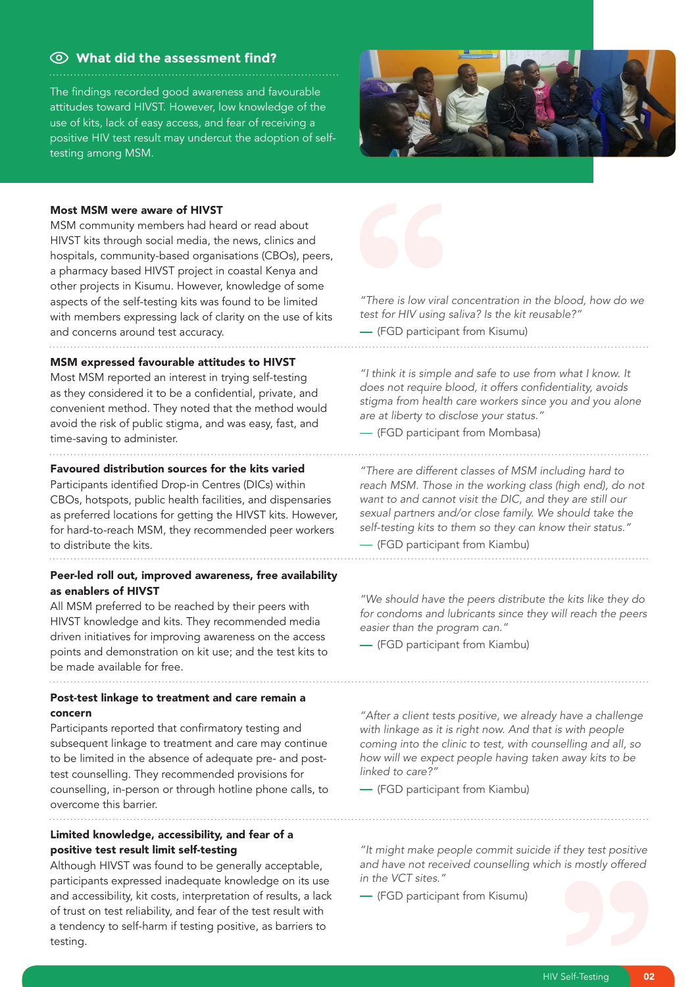## **What did the assessment find?**

The findings recorded good awareness and favourable attitudes toward HIVST. However, low knowledge of the use of kits, lack of easy access, and fear of receiving a positive HIV test result may undercut the adoption of selftesting among MSM.



#### Most MSM were aware of HIVST

MSM community members had heard or read about HIVST kits through social media, the news, clinics and hospitals, community-based organisations (CBOs), peers, a pharmacy based HIVST project in coastal Kenya and other projects in Kisumu. However, knowledge of some aspects of the self-testing kits was found to be limited with members expressing lack of clarity on the use of kits and concerns around test accuracy.

### MSM expressed favourable attitudes to HIVST

Most MSM reported an interest in trying self-testing as they considered it to be a confidential, private, and convenient method. They noted that the method would avoid the risk of public stigma, and was easy, fast, and time-saving to administer.

#### Favoured distribution sources for the kits varied

Participants identified Drop-in Centres (DICs) within CBOs, hotspots, public health facilities, and dispensaries as preferred locations for getting the HIVST kits. However, for hard-to-reach MSM, they recommended peer workers to distribute the kits.

Peer-led roll out, improved awareness, free availability as enablers of HIVST

All MSM preferred to be reached by their peers with HIVST knowledge and kits. They recommended media driven initiatives for improving awareness on the access points and demonstration on kit use; and the test kits to be made available for free.

Post-test linkage to treatment and care remain a concern

Participants reported that confirmatory testing and subsequent linkage to treatment and care may continue to be limited in the absence of adequate pre- and posttest counselling. They recommended provisions for counselling, in-person or through hotline phone calls, to overcome this barrier.

Limited knowledge, accessibility, and fear of a positive test result limit self-testing

Although HIVST was found to be generally acceptable, participants expressed inadequate knowledge on its use and accessibility, kit costs, interpretation of results, a lack of trust on test reliability, and fear of the test result with a tendency to self-harm if testing positive, as barriers to testing.



*"There is low viral concentration in the blood, how do we test for HIV using saliva? Is the kit reusable?"*

(FGD participant from Kisumu)

*"I think it is simple and safe to use from what I know. It*  does not require blood, it offers confidentiality, avoids *stigma from health care workers since you and you alone are at liberty to disclose your status."*

(FGD participant from Mombasa)

*"There are different classes of MSM including hard to reach MSM. Those in the working class (high end), do not want to and cannot visit the DIC, and they are still our sexual partners and/or close family. We should take the self-testing kits to them so they can know their status."* 

(FGD participant from Kiambu)

*"We should have the peers distribute the kits like they do for condoms and lubricants since they will reach the peers easier than the program can."*

(FGD participant from Kiambu)

*"After a client tests positive, we already have a challenge with linkage as it is right now. And that is with people coming into the clinic to test, with counselling and all, so how will we expect people having taken away kits to be linked to care?"* 

(FGD participant from Kiambu)

*"It might make people commit suicide if they test positive and have not received counselling which is mostly offered in the VCT sites."*

(FGD participant from Kisumu)